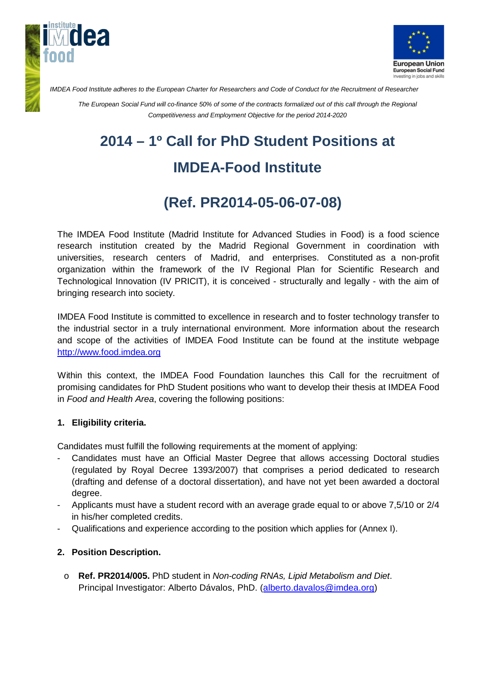



*IMDEA Food Institute adheres to the European Charter for Researchers and Code of Conduct for the Recruitment of Researcher*

*The European Social Fund will co-finance 50% of some of the contracts formalized out of this call through the Regional Competitiveness and Employment Objective for the period 2014-2020*

# **2014 – 1º Call for PhD Student Positions at**

### **IMDEA-Food Institute**

## **(Ref. PR2014-05-06-07-08)**

The IMDEA Food Institute (Madrid Institute for Advanced Studies in Food) is a food science research institution created by the Madrid Regional Government in coordination with universities, research centers of Madrid, and enterprises. Constituted as a non-profit organization within the framework of the IV Regional Plan for Scientific Research and Technological Innovation (IV PRICIT), it is conceived - structurally and legally - with the aim of bringing research into society.

IMDEA Food Institute is committed to excellence in research and to foster technology transfer to the industrial sector in a truly international environment. More information about the research and scope of the activities of IMDEA Food Institute can be found at the institute webpage [http://www.food.imdea.org](http://www.food.imdea.org/)

Within this context, the IMDEA Food Foundation launches this Call for the recruitment of promising candidates for PhD Student positions who want to develop their thesis at IMDEA Food in *Food and Health Area*, covering the following positions:

#### **1. Eligibility criteria.**

Candidates must fulfill the following requirements at the moment of applying:

- Candidates must have an Official Master Degree that allows accessing Doctoral studies (regulated by Royal Decree 1393/2007) that comprises a period dedicated to research (drafting and defense of a doctoral dissertation), and have not yet been awarded a doctoral degree.
- Applicants must have a student record with an average grade equal to or above 7,5/10 or 2/4 in his/her completed credits.
- Qualifications and experience according to the position which applies for (Annex I).

#### **2. Position Description.**

o **Ref. PR2014/005.** PhD student in *Non-coding RNAs, Lipid Metabolism and Diet*. Principal Investigator: Alberto Dávalos, PhD. [\(alberto.davalos@imdea.org\)](mailto:alberto.davalos@imdea.org)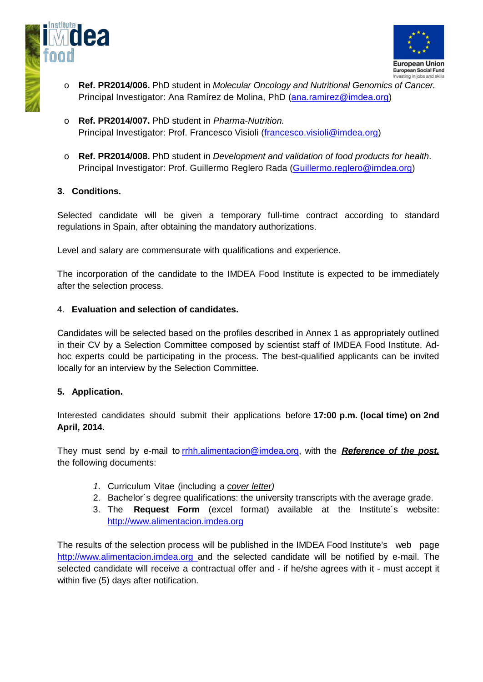



- o **Ref. PR2014/006.** PhD student in *Molecular Oncology and Nutritional Genomics of Cancer.* Principal Investigator: Ana Ramírez de Molina, PhD [\(ana.ramirez@imdea.org\)](mailto:ana.ramirez@imdea.org)
- o **Ref. PR2014/007.** PhD student in *Pharma-Nutrition.* Principal Investigator: Prof. Francesco Visioli [\(francesco.visioli@imdea.org\)](mailto:francesco.visioli@imdea.org)
- o **Ref. PR2014/008.** PhD student in *Development and validation of food products for health*. Principal Investigator: Prof. Guillermo Reglero Rada [\(Guillermo.reglero@imdea.org\)](mailto:Guillermo.reglero@imdea.org)

#### **3. Conditions.**

Selected candidate will be given a temporary full-time contract according to standard regulations in Spain, after obtaining the mandatory authorizations.

Level and salary are commensurate with qualifications and experience.

The incorporation of the candidate to the IMDEA Food Institute is expected to be immediately after the selection process.

#### 4. **Evaluation and selection of candidates.**

Candidates will be selected based on the profiles described in Annex 1 as appropriately outlined in their CV by a Selection Committee composed by scientist staff of IMDEA Food Institute. Adhoc experts could be participating in the process. The best-qualified applicants can be invited locally for an interview by the Selection Committee.

#### **5. Application.**

Interested candidates should submit their applications before **17:00 p.m. (local time) on 2nd April, 2014.**

They must send by e-mail to rrhh.alimentacion@imdea.org, with the *Reference of the post,*  the following documents:

- *1.* Curriculum Vitae (including a *cover letter)*
- 2. Bachelor´s degree qualifications: the university transcripts with the average grade.
- 3. The **Request Form** (excel format) available at the Institute´s website: [http://www.alimentacion.imdea.org](http://www.alimentacion.imdea.org/)

The results of the selection process will be published in the IMDEA Food Institute's web page http://www.alimentacion.imdea.org and the selected candidate will be notified by e-mail. The selected candidate will receive a contractual offer and - if he/she agrees with it - must accept it within five (5) days after notification.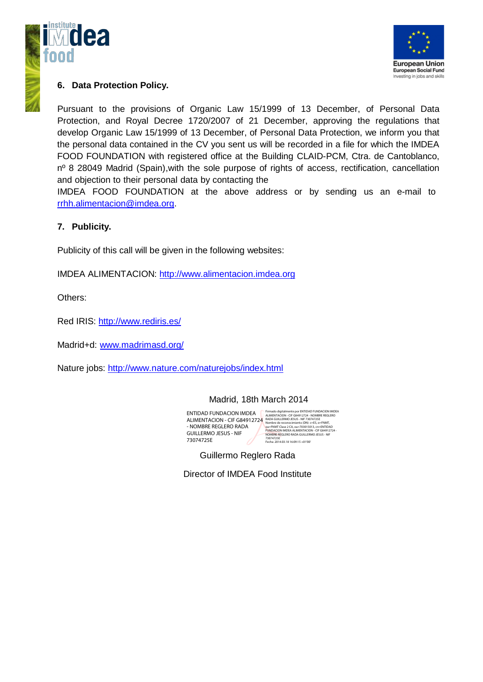



#### **6. Data Protection Policy.**

Pursuant to the provisions of Organic Law 15/1999 of 13 December, of Personal Data Protection, and Royal Decree 1720/2007 of 21 December, approving the regulations that develop Organic Law 15/1999 of 13 December, of Personal Data Protection, we inform you that the personal data contained in the CV you sent us will be recorded in a file for which the IMDEA FOOD FOUNDATION with registered office at the Building CLAID-PCM, Ctra. de Cantoblanco, nº 8 28049 Madrid (Spain), with the sole purpose of rights of access, rectification, cancellation and objection to their personal data by contacting the

IMDEA FOOD FOUNDATION at the above address or by sending us an e-mail to [rrhh.alimentacion@imdea.org.](mailto:rrhh.alimentacion@imdea.org)

#### **7. Publicity.**

Publicity of this call will be given in the following websites:

IMDEA ALIMENTACION: http:/[/www.alimentacion.imdea.org](http://www.alimentacion.imdea.org/)

Others:

Red IRIS:<http://www.rediris.es/>

Madrid+d: [www.madrimasd.org/](http://www.madrimasd.org/)

Nature jobs:<http://www.nature.com/naturejobs/index.html>

#### Madrid, 18th March 2014

ENTIDAD FUNDACION IMDEA ALIMENTACION - CIF G84912724 - NOMBRE REGLERO RADA GUILLERMO JESUS - NIF 73074725E

Firmado digitalmente por ENTIDAD FUNDACION IMDEA<br>ALIMENTACION - CIF G84912724 - NOMBRE REGLERO<br>RADA GUILLERMO JESUS - NIF 73074725E<br>Mombre de reconcimiento (DN): c=ES, o=FNMT,<br>Ou=FNMT Clase 2 CA, ou=703015013, cn=ENTIDAD<br>F 73074725E Fecha: 2014.03.18 16:09:15 +01'00'

Guillermo Reglero Rada

Director of IMDEA Food Institute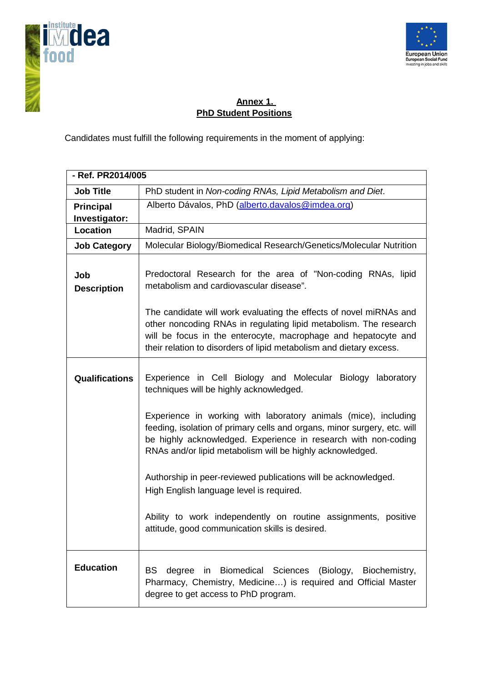



### **Annex 1. PhD Student Positions**

Candidates must fulfill the following requirements in the moment of applying:

| - Ref. PR2014/005                 |                                                                                                                                                                                                                                                                                  |  |
|-----------------------------------|----------------------------------------------------------------------------------------------------------------------------------------------------------------------------------------------------------------------------------------------------------------------------------|--|
| <b>Job Title</b>                  | PhD student in Non-coding RNAs, Lipid Metabolism and Diet.                                                                                                                                                                                                                       |  |
| <b>Principal</b><br>Investigator: | Alberto Dávalos, PhD (alberto.davalos@imdea.org)                                                                                                                                                                                                                                 |  |
| Location                          | Madrid, SPAIN                                                                                                                                                                                                                                                                    |  |
| <b>Job Category</b>               | Molecular Biology/Biomedical Research/Genetics/Molecular Nutrition                                                                                                                                                                                                               |  |
| Job<br><b>Description</b>         | Predoctoral Research for the area of "Non-coding RNAs, lipid<br>metabolism and cardiovascular disease".                                                                                                                                                                          |  |
|                                   | The candidate will work evaluating the effects of novel miRNAs and<br>other noncoding RNAs in regulating lipid metabolism. The research<br>will be focus in the enterocyte, macrophage and hepatocyte and<br>their relation to disorders of lipid metabolism and dietary excess. |  |
| <b>Qualifications</b>             | Experience in Cell Biology and Molecular Biology laboratory<br>techniques will be highly acknowledged.                                                                                                                                                                           |  |
|                                   | Experience in working with laboratory animals (mice), including<br>feeding, isolation of primary cells and organs, minor surgery, etc. will<br>be highly acknowledged. Experience in research with non-coding<br>RNAs and/or lipid metabolism will be highly acknowledged.       |  |
|                                   | Authorship in peer-reviewed publications will be acknowledged.<br>High English language level is required.                                                                                                                                                                       |  |
|                                   | Ability to work independently on routine assignments, positive<br>attitude, good communication skills is desired.                                                                                                                                                                |  |
| <b>Education</b>                  | BS.<br>degree in Biomedical Sciences<br>(Biology,<br>Biochemistry,<br>Pharmacy, Chemistry, Medicine) is required and Official Master<br>degree to get access to PhD program.                                                                                                     |  |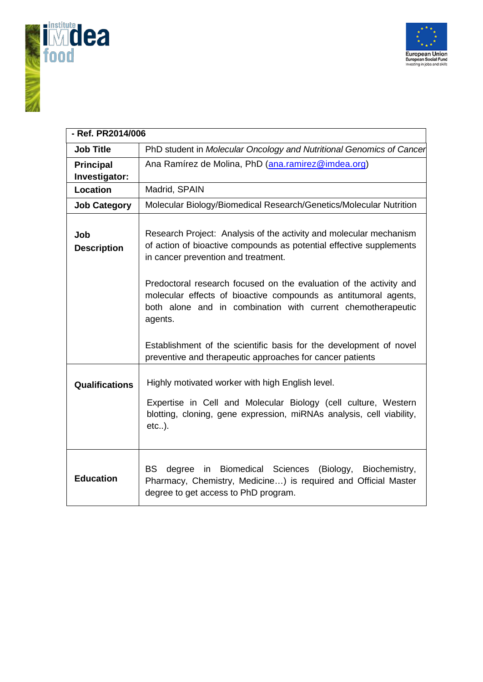



| - Ref. PR2014/006         |                                                                                                                                                                                                                                                                                                                                                                                                                                                                                                                                        |  |
|---------------------------|----------------------------------------------------------------------------------------------------------------------------------------------------------------------------------------------------------------------------------------------------------------------------------------------------------------------------------------------------------------------------------------------------------------------------------------------------------------------------------------------------------------------------------------|--|
| <b>Job Title</b>          | PhD student in Molecular Oncology and Nutritional Genomics of Cancer                                                                                                                                                                                                                                                                                                                                                                                                                                                                   |  |
| <b>Principal</b>          | Ana Ramírez de Molina, PhD (ana.ramirez@imdea.org)                                                                                                                                                                                                                                                                                                                                                                                                                                                                                     |  |
| Investigator:             |                                                                                                                                                                                                                                                                                                                                                                                                                                                                                                                                        |  |
| Location                  | Madrid, SPAIN                                                                                                                                                                                                                                                                                                                                                                                                                                                                                                                          |  |
| <b>Job Category</b>       | Molecular Biology/Biomedical Research/Genetics/Molecular Nutrition                                                                                                                                                                                                                                                                                                                                                                                                                                                                     |  |
| Job<br><b>Description</b> | Research Project: Analysis of the activity and molecular mechanism<br>of action of bioactive compounds as potential effective supplements<br>in cancer prevention and treatment.<br>Predoctoral research focused on the evaluation of the activity and<br>molecular effects of bioactive compounds as antitumoral agents,<br>both alone and in combination with current chemotherapeutic<br>agents.<br>Establishment of the scientific basis for the development of novel<br>preventive and therapeutic approaches for cancer patients |  |
| <b>Qualifications</b>     | Highly motivated worker with high English level.<br>Expertise in Cell and Molecular Biology (cell culture, Western<br>blotting, cloning, gene expression, miRNAs analysis, cell viability,<br>$etc.$ ).                                                                                                                                                                                                                                                                                                                                |  |
| <b>Education</b>          | Biomedical Sciences<br>BS<br>degree<br>(Biology,<br>Biochemistry,<br>in<br>Pharmacy, Chemistry, Medicine) is required and Official Master<br>degree to get access to PhD program.                                                                                                                                                                                                                                                                                                                                                      |  |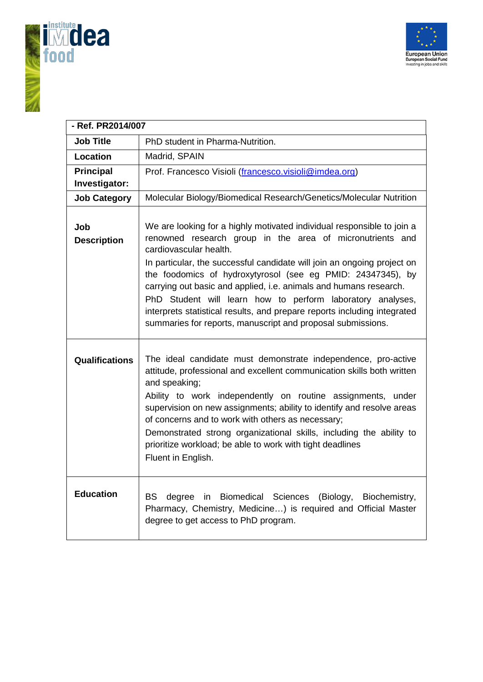



| - Ref. PR2014/007         |                                                                                                                                                                                                                                                                                                                                                                                                                                                                                                                                                                                       |
|---------------------------|---------------------------------------------------------------------------------------------------------------------------------------------------------------------------------------------------------------------------------------------------------------------------------------------------------------------------------------------------------------------------------------------------------------------------------------------------------------------------------------------------------------------------------------------------------------------------------------|
| <b>Job Title</b>          | PhD student in Pharma-Nutrition.                                                                                                                                                                                                                                                                                                                                                                                                                                                                                                                                                      |
| Location                  | Madrid, SPAIN                                                                                                                                                                                                                                                                                                                                                                                                                                                                                                                                                                         |
| <b>Principal</b>          | Prof. Francesco Visioli (francesco.visioli@imdea.org)                                                                                                                                                                                                                                                                                                                                                                                                                                                                                                                                 |
| Investigator:             |                                                                                                                                                                                                                                                                                                                                                                                                                                                                                                                                                                                       |
| <b>Job Category</b>       | Molecular Biology/Biomedical Research/Genetics/Molecular Nutrition                                                                                                                                                                                                                                                                                                                                                                                                                                                                                                                    |
| Job<br><b>Description</b> | We are looking for a highly motivated individual responsible to join a<br>renowned research group in the area of micronutrients and<br>cardiovascular health.<br>In particular, the successful candidate will join an ongoing project on<br>the foodomics of hydroxytyrosol (see eg PMID: 24347345), by<br>carrying out basic and applied, i.e. animals and humans research.<br>PhD Student will learn how to perform laboratory analyses,<br>interprets statistical results, and prepare reports including integrated<br>summaries for reports, manuscript and proposal submissions. |
| Qualifications            | The ideal candidate must demonstrate independence, pro-active<br>attitude, professional and excellent communication skills both written<br>and speaking;<br>Ability to work independently on routine assignments, under<br>supervision on new assignments; ability to identify and resolve areas<br>of concerns and to work with others as necessary;<br>Demonstrated strong organizational skills, including the ability to<br>prioritize workload; be able to work with tight deadlines<br>Fluent in English.                                                                       |
| <b>Education</b>          | <b>BS</b><br>Biomedical Sciences<br>degree<br>in<br>(Biology,<br>Biochemistry,<br>Pharmacy, Chemistry, Medicine) is required and Official Master<br>degree to get access to PhD program.                                                                                                                                                                                                                                                                                                                                                                                              |